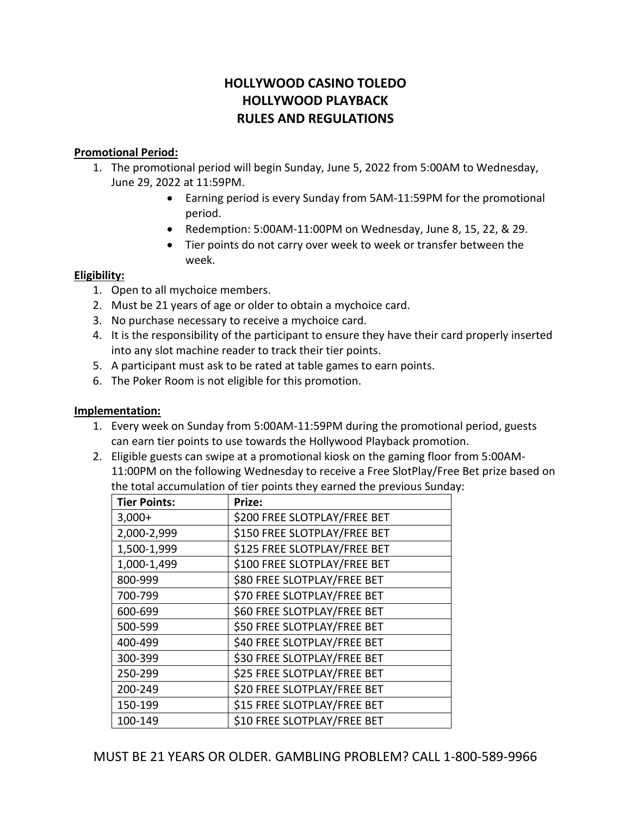# **HOLLYWOOD CASINO TOLEDO HOLLYWOOD PLAYBACK RULES AND REGULATIONS**

## **Promotional Period:**

- 1. The promotional period will begin Sunday, June 5, 2022 from 5:00AM to Wednesday, June 29, 2022 at 11:59PM.
	- Earning period is every Sunday from 5AM-11:59PM for the promotional period.
	- Redemption: 5:00AM-11:00PM on Wednesday, June 8, 15, 22, & 29.
	- Tier points do not carry over week to week or transfer between the week.

#### **Eligibility:**

- 1. Open to all mychoice members.
- 2. Must be 21 years of age or older to obtain a mychoice card.
- 3. No purchase necessary to receive a mychoice card.
- 4. It is the responsibility of the participant to ensure they have their card properly inserted into any slot machine reader to track their tier points.
- 5. A participant must ask to be rated at table games to earn points.
- 6. The Poker Room is not eligible for this promotion.

# **Implementation:**

- 1. Every week on Sunday from 5:00AM-11:59PM during the promotional period, guests can earn tier points to use towards the Hollywood Playback promotion.
- 2. Eligible guests can swipe at a promotional kiosk on the gaming floor from 5:00AM-11:00PM on the following Wednesday to receive a Free SlotPlay/Free Bet prize based on the total accumulation of tier points they earned the previous Sunday:

| <b>Tier Points:</b> | Prize:                       |
|---------------------|------------------------------|
| $3,000+$            | \$200 FREE SLOTPLAY/FREE BET |
| 2,000-2,999         | \$150 FREE SLOTPLAY/FREE BET |
| 1,500-1,999         | \$125 FREE SLOTPLAY/FREE BET |
| 1,000-1,499         | \$100 FREE SLOTPLAY/FREE BET |
| 800-999             | \$80 FREE SLOTPLAY/FREE BET  |
| 700-799             | \$70 FREE SLOTPLAY/FREE BET  |
| 600-699             | \$60 FREE SLOTPLAY/FREE BET  |
| 500-599             | \$50 FREE SLOTPLAY/FREE BET  |
| 400-499             | \$40 FREE SLOTPLAY/FREE BET  |
| 300-399             | \$30 FREE SLOTPLAY/FREE BET  |
| 250-299             | \$25 FREE SLOTPLAY/FREE BET  |
| 200-249             | \$20 FREE SLOTPLAY/FREE BET  |
| 150-199             | \$15 FREE SLOTPLAY/FREE BET  |
| 100-149             | \$10 FREE SLOTPLAY/FREE BET  |